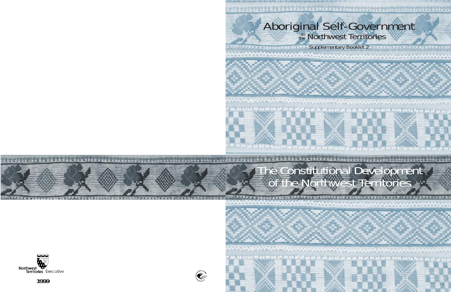# Aboriginal Self-Government

Supplementary Booklet 2

### The Constitutional Development of the Northwest Territories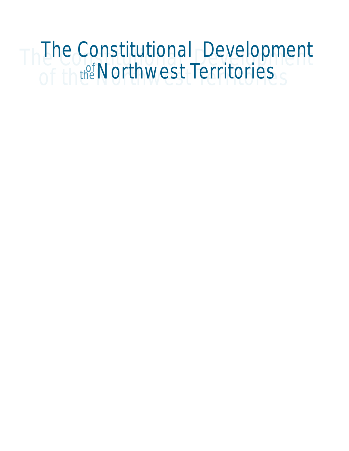### Third Constitutional Development of the Northwest Territories The Constitutional Development the Northwest Territories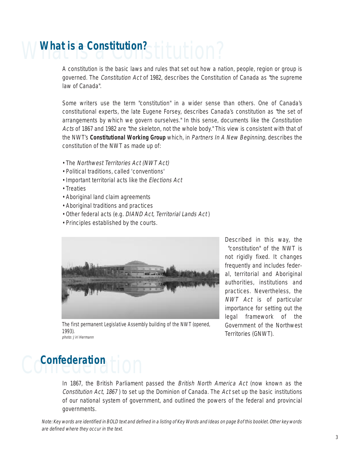## What is a Constitution? **What is a Constitution?**

A constitution is the basic laws and rules that set out how a nation, people, region or group is governed. The Constitution Act of 1982, describes the Constitution of Canada as "the supreme law of Canada".

Some writers use the term "constitution" in a wider sense than others. One of Canada's constitutional experts, the late Eugene Forsey, describes Canada's constitution as "the set of arrangements by which we govern ourselves." In this sense, documents like the Constitution Acts of 1867 and 1982 are "the skeleton, not the whole body." This view is consistent with that of the NWT's **Constitutional Working Group** which, in Partners In A New Beginning, describes the constitution of the NWT as made up of:

- The Northwest Territories Act (NWT Act)
- Political traditions, called 'conventions'
- Important territorial acts like the Elections Act
- Treaties
- Aboriginal land claim agreements
- Aboriginal traditions and practices
- Other federal acts (e.g. DIAND Act, Territorial Lands Act)
- Principles established by the courts.



Described in this way, the "constitution" of the NWT is not rigidly fixed. It changes frequently and includes federal, territorial and Aboriginal authorities, institutions and practices. Nevertheless, the NWT Act is of particular importance for setting out the legal framework of the Government of the Northwest Territories (GNWT).

The first permanent Legislative Assembly building of the NWT (opened, 1993). photo: Jiri Hermann

### Confederation Hon

In 1867, the British Parliament passed the British North America Act (now known as the Constitution Act, 1867 ) to set up the Dominion of Canada. The Act set up the basic institutions of our national system of government, and outlined the powers of the federal and provincial governments.

Note: Key words are identified in BOLD text and defined in a listing of Key Words and Ideas on page 8 of this booklet. Other key words are defined where they occur in the text.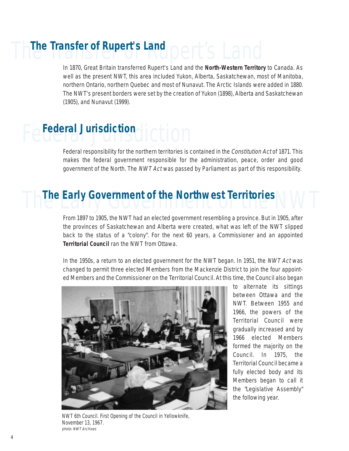### The Transfer of Rupert's Land **Dert's Land**

In 1870, Great Britain transferred Rupert's Land and the **North-Western Territory** to Canada. As well as the present NWT, this area included Yukon, Alberta, Saskatchewan, most of Manitoba, northern Ontario, northern Quebec and most of Nunavut. The Arctic Islands were added in 1880. The NWT's present borders were set by the creation of Yukon (1898), Alberta and Saskatchewan (1905), and Nunavut (1999).

## Federal Jurisdiction **Federal Jurisdiction**

Federal responsibility for the northern territories is contained in the Constitution Act of 1871. This makes the federal government responsible for the administration, peace, order and good government of the North. The NWT Act was passed by Parliament as part of this responsibility.

## **The Early Government of the Northwest Territories WAYT**

From 1897 to 1905, the NWT had an elected government resembling a province. But in 1905, after the provinces of Saskatchewan and Alberta were created, what was left of the NWT slipped back to the status of a "colony". For the next 60 years, a Commissioner and an appointed **Territorial Council** ran the NWT from Ottawa.

In the 1950s, a return to an elected government for the NWT began. In 1951, the NWT Act was changed to permit three elected Members from the Mackenzie District to join the four appointed Members and the Commissioner on the Territorial Council. At this time, the Council also began



NWT 6th Council. First Opening of the Council in Yellowknife, November 13, 1967. photo: NWT Archives

to alternate its sittings between Ottawa and the NWT. Between 1955 and 1966, the powers of the Territorial Council were gradually increased and by 1966 elected Members formed the majority on the Council. In 1975, the Territorial Council became a fully elected body and its Members began to call it the "Legislative Assembly" the following year.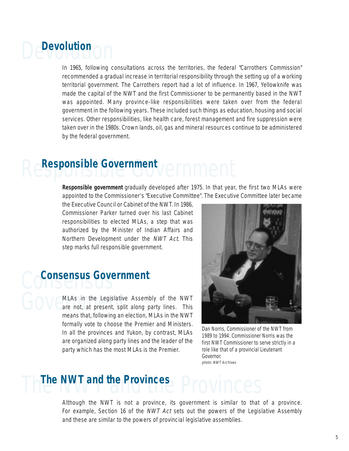### Devolution **Devolution**

In 1965, following consultations across the territories, the federal "Carrothers Commission" recommended a gradual increase in territorial responsibility through the setting up of a working territorial government. The Carrothers report had a lot of influence. In 1967, Yellowknife was made the capital of the NWT and the first Commissioner to be permanently based in the NWT was appointed. Many province-like responsibilities were taken over from the federal government in the following years. These included such things as education, housing and social services. Other responsibilities, like health care, forest management and fire suppression were taken over in the 1980s. Crown lands, oil, gas and mineral resources continue to be administered by the federal government.

### Responsible Government **Responsible Government**

**Responsible government** gradually developed after 1975. In that year, the first two MLAs were appointed to the Commissioner's "Executive Committee". The Executive Committee later became

the Executive Council or Cabinet of the NWT. In 1986, Commissioner Parker turned over his last Cabinet responsibilities to elected MLAs, a step that was authorized by the Minister of Indian Affairs and Northern Development under the NWT Act. This step marks full responsible government.

### Consensus **Consensus Government**

GOV CMLAs in the Legislative<br>means that following an MLAs in the Legislative Assembly of the NWT are not, at present, split along party lines. This means that, following an election, MLAs in the NWT formally vote to choose the Premier and Ministers. In all the provinces and Yukon, by contrast, MLAs are organized along party lines and the leader of the party which has the most MLAs is the Premier.



Dan Norris, Commissioner of the NWT from 1989 to 1994. Commissioner Norris was the first NWT Commissioner to serve strictly in a role like that of a provincial Lieutenant Governor. photo: NWT Archives

### The NWT and the Provinces **The NWT and the Provinces**

Although the NWT is not a province, its government is similar to that of a province. For example, Section 16 of the NWT Act sets out the powers of the Legislative Assembly and these are similar to the powers of provincial legislative assemblies.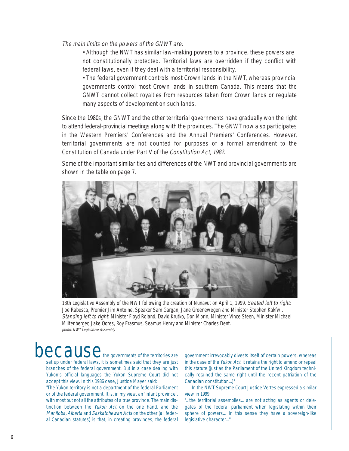The main limits on the powers of the GNWT are:

• Although the NWT has similar law-making powers to a province, these powers are not constitutionally protected. Territorial laws are overridden if they conflict with federal laws, even if they deal with a territorial responsibility.

• The federal government controls most Crown lands in the NWT, whereas provincial governments control most Crown lands in southern Canada. This means that the GNWT cannot collect royalties from resources taken from Crown lands or regulate many aspects of development on such lands.

Since the 1980s, the GNWT and the other territorial governments have gradually won the right to attend federal-provincial meetings along with the provinces. The GNWT now also participates in the Western Premiers' Conferences and the Annual Premiers' Conferences. However, territorial governments are not counted for purposes of a formal amendment to the Constitution of Canada under Part V of the Constitution Act, 1982.

Some of the important similarities and differences of the NWT and provincial governments are shown in the table on page 7.



13th Legislative Assembly of the NWT following the creation of Nunavut on April 1, 1999. Seated left to right: Joe Rabesca, Premier Jim Antoine, Speaker Sam Gargan, Jane Groenewegen and Minister Stephen Kakfwi. Standing left to right: Minister Floyd Roland, David Krutko, Don Morin, Minister Vince Steen, Minister Michael Miltenberger, Jake Ootes, Roy Erasmus, Seamus Henry and Minister Charles Dent. photo: NWT Legislative Assembly

### $\operatorname{Decause}$  the governments of the territories are

set up under federal laws, it is sometimes said that they are just branches of the federal government. But in a case dealing with Yukon's official languages the Yukon Supreme Court did not accept this view. In this 1986 case, Justice Mayer said:

"The Yukon territory is not a department of the federal Parliament or of the federal government. It is, in my view, an 'infant province', with most but not all the attributes of a true province. The main distinction between the Yukon Act on the one hand, and the Manitoba, Alberta and Saskatchewan Acts on the other (all federal Canadian statutes) is that, in creating provinces, the federal

government irrevocably divests itself of certain powers, whereas in the case of the Yukon Act, it retains the right to amend or repeal this statute (just as the Parliament of the United Kingdom technically retained the same right until the recent patriation of the Canadian constitution...)"

In the NWT Supreme Court Justice Vertes expressed a similar view in 1999:

"...the territorial assemblies... are not acting as agents or delegates of the federal parliament when legislating within their sphere of powers... In this sense they have a sovereign-like legislative character..."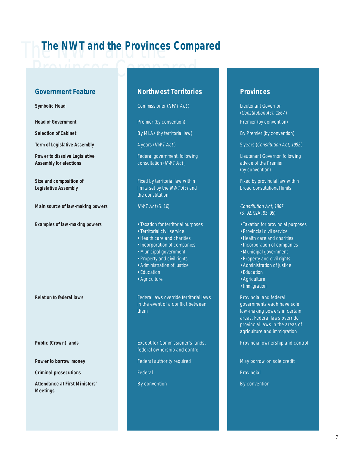### **The NWT and the Provinces Compared**

#### **Government Feature Cover Northwest Territories Access Provinces**

**Main source of law-making powers MWT Act (S. 16) Constitution Act, 1867** 

**Criminal prosecutions Federal Provincial Provincial Provincial Provincial Provincial Provincial Provincial Provincial Provincial Provincial Provincial Provincial Provincial Provincial Provincial Provincial Provincial Pr** 

**Attendance at First Ministers' By convention By convention By convention By convention Meetings**

**Symbolic Head** Commissioner (NWT Act) Lieutenant Governor

**Selection of Cabinet By MLAs (by territorial law)** By Premier (by convention)

**Assembly for elections consultation (NWT Act) advice of the Premier consultation** (NWT Act)

**Size and composition of <b>Fixed by territorial law within** Fixed by provincial law within Fixed by provincial law within **Legislative Assembly limits set by the NWT Act and broad constitutional limits** the constitution

- **Examples of law-making powers Taxation for territorial purposes** Taxation for provincial purposes
	- Territorial civil service Provincial civil service
	- Health care and charities **•** Health care and charities
	- Incorporation of companies Incorporation of companies
	- Municipal government **•** Municipal government
	- Property and civil rights Property and civil rights
	-
	-
	-

**Relation to federal laws** Federal laws **Federal laws** override territorial laws Provincial and federal in the event of a conflict between governments each have sole them law-making powers in certain

federal ownership and control

**Power to borrow money Federal authority required** May borrow on sole credit

(Constitution Act, 1867 ) **Head of Government Premier (by convention)** Premier (by convention) **Premier (by convention)** Premier (by convention)

**Term of Legislative Assembly** 4 years (*NWT Act* ) 5 years (*Constitution Act, 1982*)

**Power to dissolve Legislative** Federal government, following Lieutenant Governor, following (by convention)

(S. 92, 92A, 93, 95)

- 
- 
- 
- 
- 
- 
- Administration of justice Administration of justice
- Education Education Education Education Education
- Agriculture **Agriculture Agriculture** 
	- Immigration

areas. Federal laws override provincial laws in the areas of agriculture and immigration

**Public (Crown) lands Except for Commissioner's lands,** Provincial ownership and control